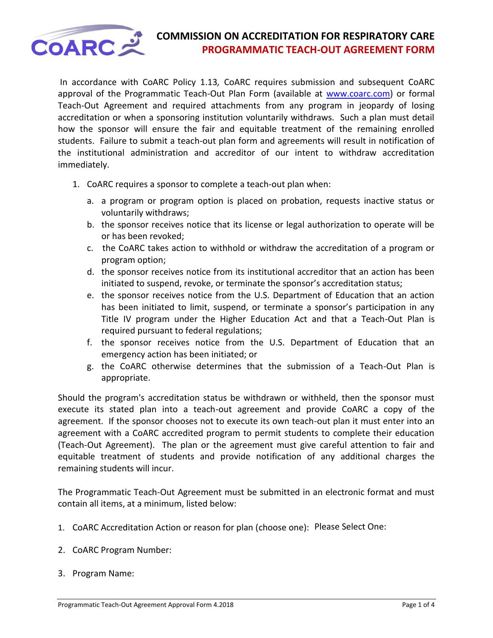

## **COMMISSION ON ACCREDITATION FOR RESPIRATORY CARE**<br>**PROGRAMMATIC TEACH-OUT AGREEMENT FORM PROGRAMMATIC TEACH-OUT AGREEMENT FORM**

In accordance with CoARC Policy 1.13*,* CoARC requires submission and subsequent CoARC approval of the Programmatic Teach-Out Plan Form (available at [www.coarc.com\)](http://www.coarc.com/) or formal Teach-Out Agreement and required attachments from any program in jeopardy of losing accreditation or when a sponsoring institution voluntarily withdraws. Such a plan must detail how the sponsor will ensure the fair and equitable treatment of the remaining enrolled students. Failure to submit a teach-out plan form and agreements will result in notification of the institutional administration and accreditor of our intent to withdraw accreditation immediately.

- 1. CoARC requires a sponsor to complete a teach-out plan when:
	- a. a program or program option is placed on probation, requests inactive status or voluntarily withdraws;
	- b. the sponsor receives notice that its license or legal authorization to operate will be or has been revoked;
	- c. the CoARC takes action to withhold or withdraw the accreditation of a program or program option;
	- d. the sponsor receives notice from its institutional accreditor that an action has been initiated to suspend, revoke, or terminate the sponsor's accreditation status;
	- e. the sponsor receives notice from the U.S. Department of Education that an action has been initiated to limit, suspend, or terminate a sponsor's participation in any Title IV program under the Higher Education Act and that a Teach-Out Plan is required pursuant to federal regulations;
	- f. the sponsor receives notice from the U.S. Department of Education that an emergency action has been initiated; or
	- g. the CoARC otherwise determines that the submission of a Teach-Out Plan is appropriate.

Should the program's accreditation status be withdrawn or withheld, then the sponsor must execute its stated plan into a teach-out agreement and provide CoARC a copy of the agreement. If the sponsor chooses not to execute its own teach-out plan it must enter into an agreement with a CoARC accredited program to permit students to complete their education (Teach-Out Agreement). The plan or the agreement must give careful attention to fair and equitable treatment of students and provide notification of any additional charges the remaining students will incur.

The Programmatic Teach-Out Agreement must be submitted in an electronic format and must contain all items, at a minimum, listed below:

- 1. CoARC Accreditation Action or reason for plan (choose one): Please Select One:
- 2. CoARC Program Number:
- 3. Program Name: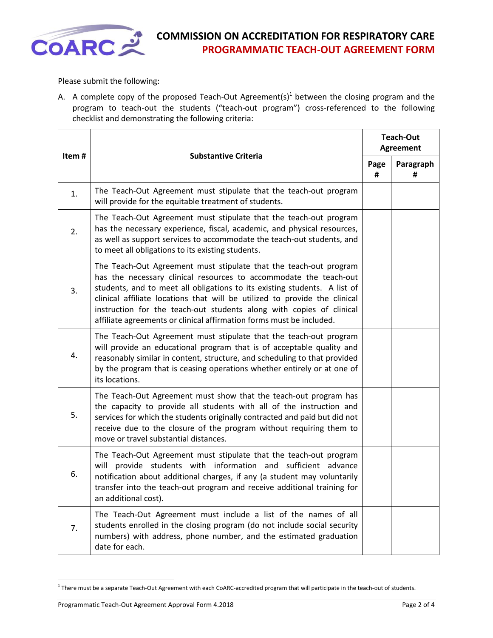

### **COARCE COMMISSION ON ACCREDITATION FOR RESPIRATORY CARE**<br>**PROGRAMMATIC TEACH-OUT AGREEMENT FORM PROGRAMMATIC TEACH-OUT AGREEMENT FORM**

Please submit the following:

A. A complete copy of the proposed Teach-Out Agreement(s)<sup>1</sup> between the closing program and the program to teach-out the students ("teach-out program") cross-referenced to the following checklist and demonstrating the following criteria:

| Item# | <b>Substantive Criteria</b>                                                                                                                                                                                                                                                                                                                                                                                                                       | <b>Teach-Out</b><br><b>Agreement</b> |                |
|-------|---------------------------------------------------------------------------------------------------------------------------------------------------------------------------------------------------------------------------------------------------------------------------------------------------------------------------------------------------------------------------------------------------------------------------------------------------|--------------------------------------|----------------|
|       |                                                                                                                                                                                                                                                                                                                                                                                                                                                   | Page<br>#                            | Paragraph<br># |
| 1.    | The Teach-Out Agreement must stipulate that the teach-out program<br>will provide for the equitable treatment of students.                                                                                                                                                                                                                                                                                                                        |                                      |                |
| 2.    | The Teach-Out Agreement must stipulate that the teach-out program<br>has the necessary experience, fiscal, academic, and physical resources,<br>as well as support services to accommodate the teach-out students, and<br>to meet all obligations to its existing students.                                                                                                                                                                       |                                      |                |
| 3.    | The Teach-Out Agreement must stipulate that the teach-out program<br>has the necessary clinical resources to accommodate the teach-out<br>students, and to meet all obligations to its existing students. A list of<br>clinical affiliate locations that will be utilized to provide the clinical<br>instruction for the teach-out students along with copies of clinical<br>affiliate agreements or clinical affirmation forms must be included. |                                      |                |
| 4.    | The Teach-Out Agreement must stipulate that the teach-out program<br>will provide an educational program that is of acceptable quality and<br>reasonably similar in content, structure, and scheduling to that provided<br>by the program that is ceasing operations whether entirely or at one of<br>its locations.                                                                                                                              |                                      |                |
| 5.    | The Teach-Out Agreement must show that the teach-out program has<br>the capacity to provide all students with all of the instruction and<br>services for which the students originally contracted and paid but did not<br>receive due to the closure of the program without requiring them to<br>move or travel substantial distances.                                                                                                            |                                      |                |
| 6.    | The Teach-Out Agreement must stipulate that the teach-out program<br>provide students with information and sufficient advance<br>will<br>notification about additional charges, if any (a student may voluntarily<br>transfer into the teach-out program and receive additional training for<br>an additional cost).                                                                                                                              |                                      |                |
| 7.    | The Teach-Out Agreement must include a list of the names of all<br>students enrolled in the closing program (do not include social security<br>numbers) with address, phone number, and the estimated graduation<br>date for each.                                                                                                                                                                                                                |                                      |                |

<sup>&</sup>lt;sup>1</sup> There must be a separate Teach-Out Agreement with each CoARC-accredited program that will participate in the teach-out of students.

 $\overline{a}$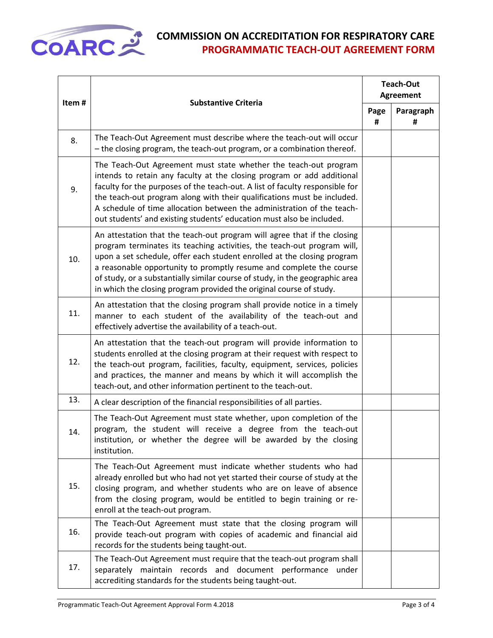

# **COARC** COMMISSION ON ACCREDITATION FOR RESPIRATORY CARE<br>
PROGRAMMATIC TEACH-OUT AGREEMENT FORM **PROGRAMMATIC TEACH-OUT AGREEMENT FORM**

| Item# | <b>Substantive Criteria</b>                                                                                                                                                                                                                                                                                                                                                                                                                                  | <b>Teach-Out</b><br><b>Agreement</b> |                |
|-------|--------------------------------------------------------------------------------------------------------------------------------------------------------------------------------------------------------------------------------------------------------------------------------------------------------------------------------------------------------------------------------------------------------------------------------------------------------------|--------------------------------------|----------------|
|       |                                                                                                                                                                                                                                                                                                                                                                                                                                                              | Page<br>#                            | Paragraph<br># |
| 8.    | The Teach-Out Agreement must describe where the teach-out will occur<br>- the closing program, the teach-out program, or a combination thereof.                                                                                                                                                                                                                                                                                                              |                                      |                |
| 9.    | The Teach-Out Agreement must state whether the teach-out program<br>intends to retain any faculty at the closing program or add additional<br>faculty for the purposes of the teach-out. A list of faculty responsible for<br>the teach-out program along with their qualifications must be included.<br>A schedule of time allocation between the administration of the teach-<br>out students' and existing students' education must also be included.     |                                      |                |
| 10.   | An attestation that the teach-out program will agree that if the closing<br>program terminates its teaching activities, the teach-out program will,<br>upon a set schedule, offer each student enrolled at the closing program<br>a reasonable opportunity to promptly resume and complete the course<br>of study, or a substantially similar course of study, in the geographic area<br>in which the closing program provided the original course of study. |                                      |                |
| 11.   | An attestation that the closing program shall provide notice in a timely<br>manner to each student of the availability of the teach-out and<br>effectively advertise the availability of a teach-out.                                                                                                                                                                                                                                                        |                                      |                |
| 12.   | An attestation that the teach-out program will provide information to<br>students enrolled at the closing program at their request with respect to<br>the teach-out program, facilities, faculty, equipment, services, policies<br>and practices, the manner and means by which it will accomplish the<br>teach-out, and other information pertinent to the teach-out.                                                                                       |                                      |                |
| 13.   | A clear description of the financial responsibilities of all parties.                                                                                                                                                                                                                                                                                                                                                                                        |                                      |                |
| 14.   | The Teach-Out Agreement must state whether, upon completion of the<br>program, the student will receive a degree from the teach-out<br>institution, or whether the degree will be awarded by the closing<br>institution.                                                                                                                                                                                                                                     |                                      |                |
| 15.   | The Teach-Out Agreement must indicate whether students who had<br>already enrolled but who had not yet started their course of study at the<br>closing program, and whether students who are on leave of absence<br>from the closing program, would be entitled to begin training or re-<br>enroll at the teach-out program.                                                                                                                                 |                                      |                |
| 16.   | The Teach-Out Agreement must state that the closing program will<br>provide teach-out program with copies of academic and financial aid<br>records for the students being taught-out.                                                                                                                                                                                                                                                                        |                                      |                |
| 17.   | The Teach-Out Agreement must require that the teach-out program shall<br>separately maintain records and document performance<br>under<br>accrediting standards for the students being taught-out.                                                                                                                                                                                                                                                           |                                      |                |